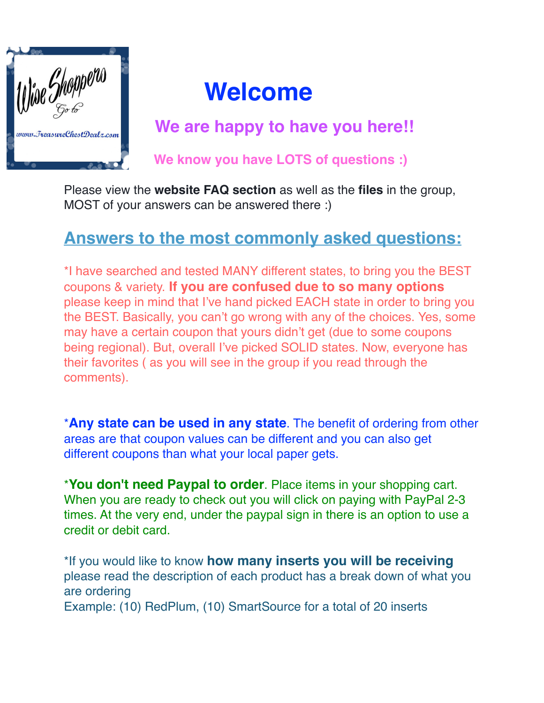

## **Welcome**

 **We are happy to have you here!!**

 **We know you have LOTS of questions :)**

Please view the **website FAQ section** as well as the **files** in the group, MOST of your answers can be answered there :)

## **Answers to the most commonly asked questions:**

\*I have searched and tested MANY different states, to bring you the BEST coupons & variety. **If you are confused due to so many options** please keep in mind that I've hand picked EACH state in order to bring you the BEST. Basically, you can't go wrong with any of the choices. Yes, some may have a certain coupon that yours didn't get (due to some coupons being regional). But, overall I've picked SOLID states. Now, everyone has their favorites ( as you will see in the group if you read through the comments).

\***Any state can be used in any state**. The benefit of ordering from other areas are that coupon values can be different and you can also get different coupons than what your local paper gets.

\***You don't need Paypal to order**. Place items in your shopping cart. When you are ready to check out you will click on paying with PayPal 2-3 times. At the very end, under the paypal sign in there is an option to use a credit or debit card.

\*If you would like to know **how many inserts you will be receiving** please read the description of each product has a break down of what you are ordering Example: (10) RedPlum, (10) SmartSource for a total of 20 inserts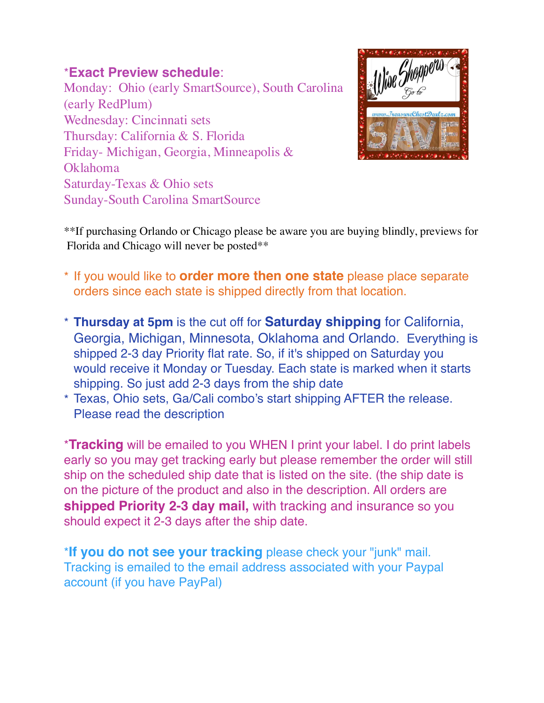## \***Exact Preview schedule**:

Monday: Ohio (early SmartSource), South Carolina (early RedPlum) Wednesday: Cincinnati sets Thursday: California & S. Florida Friday- Michigan, Georgia, Minneapolis & Oklahoma Saturday-Texas & Ohio sets Sunday-South Carolina SmartSource



\*\*If purchasing Orlando or Chicago please be aware you are buying blindly, previews for Florida and Chicago will never be posted\*\*

- \* If you would like to **order more then one state** please place separate orders since each state is shipped directly from that location.
- \* **Thursday at 5pm** is the cut off for **Saturday shipping** for California, Georgia, Michigan, Minnesota, Oklahoma and Orlando. Everything is shipped 2-3 day Priority flat rate. So, if it's shipped on Saturday you would receive it Monday or Tuesday. Each state is marked when it starts shipping. So just add 2-3 days from the ship date
- \* Texas, Ohio sets, Ga/Cali combo's start shipping AFTER the release. Please read the description

\***Tracking** will be emailed to you WHEN I print your label. I do print labels early so you may get tracking early but please remember the order will still ship on the scheduled ship date that is listed on the site. (the ship date is on the picture of the product and also in the description. All orders are **shipped Priority 2-3 day mail,** with tracking and insurance so you should expect it 2-3 days after the ship date.

\***If you do not see your tracking** please check your "junk" mail. Tracking is emailed to the email address associated with your Paypal account (if you have PayPal)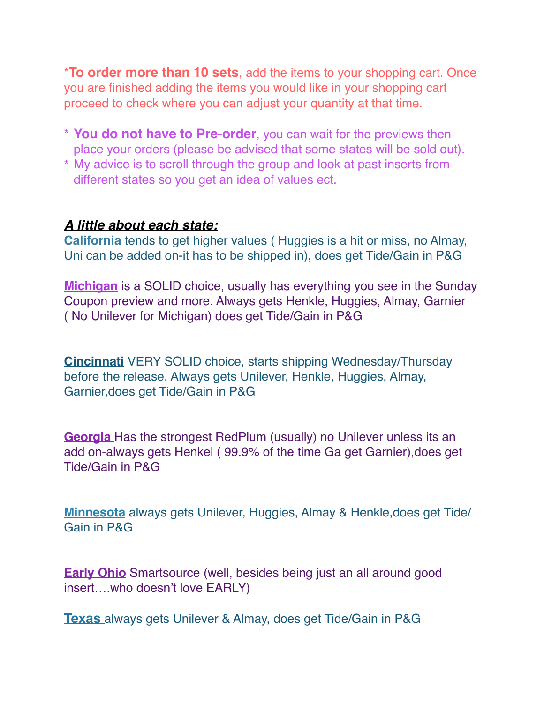\***To order more than 10 sets**, add the items to your shopping cart. Once you are finished adding the items you would like in your shopping cart proceed to check where you can adjust your quantity at that time.

- \* **You do not have to Pre-order**, you can wait for the previews then place your orders (please be advised that some states will be sold out).
- \* My advice is to scroll through the group and look at past inserts from different states so you get an idea of values ect.

## *A little about each state:*

**California** tends to get higher values ( Huggies is a hit or miss, no Almay, Uni can be added on-it has to be shipped in), does get Tide/Gain in P&G

**Michigan** is a SOLID choice, usually has everything you see in the Sunday Coupon preview and more. Always gets Henkle, Huggies, Almay, Garnier ( No Unilever for Michigan) does get Tide/Gain in P&G

**Cincinnati** VERY SOLID choice, starts shipping Wednesday/Thursday before the release. Always gets Unilever, Henkle, Huggies, Almay, Garnier,does get Tide/Gain in P&G

**Georgia** Has the strongest RedPlum (usually) no Unilever unless its an add on-always gets Henkel ( 99.9% of the time Ga get Garnier),does get Tide/Gain in P&G

**Minnesota** always gets Unilever, Huggies, Almay & Henkle,does get Tide/ Gain in P&G

**Early Ohio** Smartsource (well, besides being just an all around good insert….who doesn't love EARLY)

**Texas** always gets Unilever & Almay, does get Tide/Gain in P&G